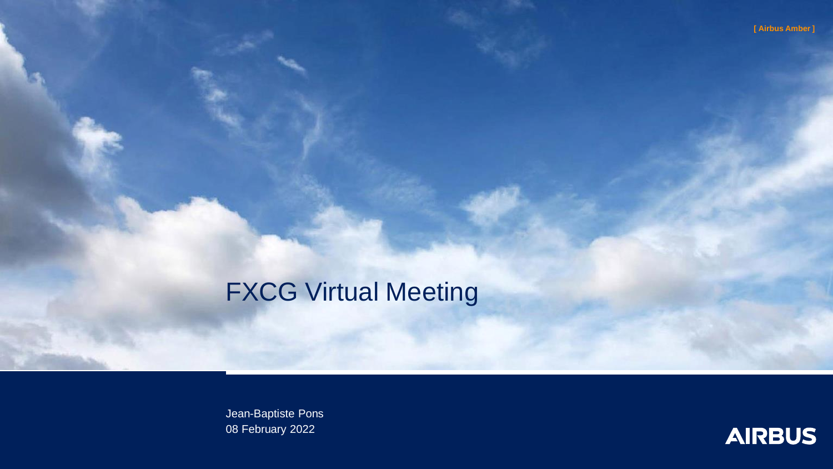# FXCG Virtual Meeting

Jean-Baptiste Pons 08 February 2022

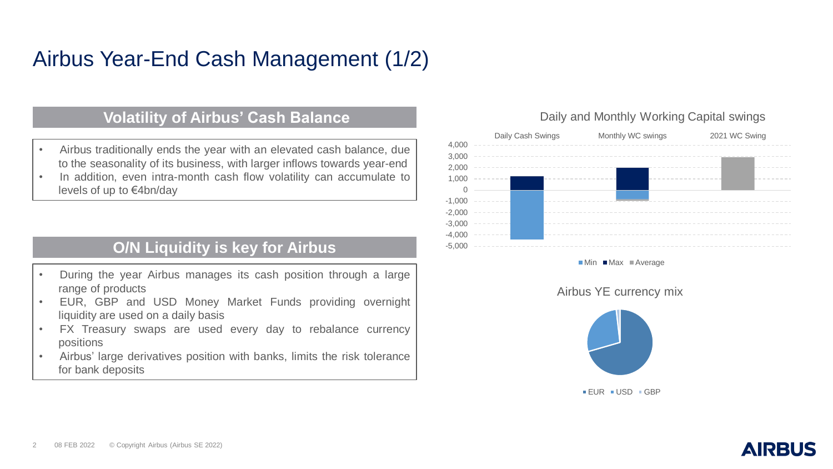## Airbus Year-End Cash Management (1/2)

### **Volatility of Airbus' Cash Balance**

- Airbus traditionally ends the year with an elevated cash balance, due to the seasonality of its business, with larger inflows towards year-end
- In addition, even intra-month cash flow volatility can accumulate to levels of up to €4bn/day

### **O/N Liquidity is key for Airbus**

- During the year Airbus manages its cash position through a large range of products
- EUR, GBP and USD Money Market Funds providing overnight liquidity are used on a daily basis
- FX Treasury swaps are used every day to rebalance currency positions
- Airbus' large derivatives position with banks, limits the risk tolerance for bank deposits

#### Daily and Monthly Working Capital swings



 $M$ in  $Max$  Average

Airbus YE currency mix



 $EUR$  USD  $GBP$ 

### **AIRBI**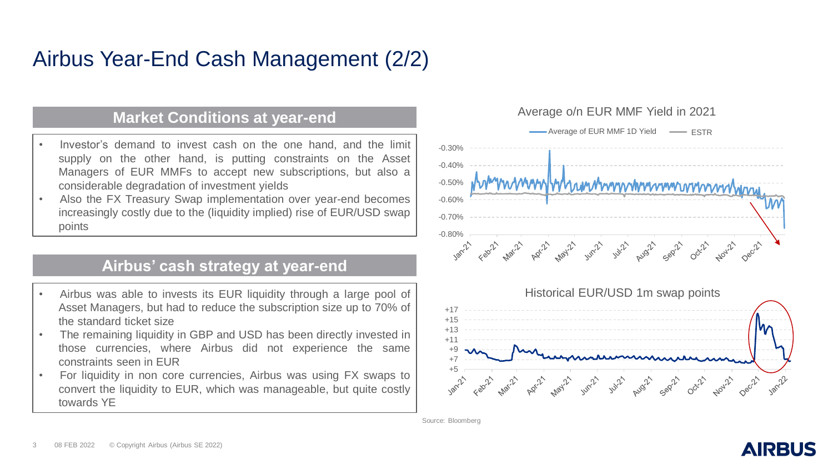## Airbus Year-End Cash Management (2/2)

### **Market Conditions at year-end**

- Investor's demand to invest cash on the one hand, and the limit supply on the other hand, is putting constraints on the Asset Managers of EUR MMFs to accept new subscriptions, but also a considerable degradation of investment yields
- Also the FX Treasury Swap implementation over year-end becomes increasingly costly due to the (liquidity implied) rise of EUR/USD swap points

#### **Airbus' cash strategy at year-end**

- Airbus was able to invests its EUR liquidity through a large pool of Asset Managers, but had to reduce the subscription size up to 70% of the standard ticket size
- The remaining liquidity in GBP and USD has been directly invested in those currencies, where Airbus did not experience the same constraints seen in EUR
- For liquidity in non core currencies, Airbus was using FX swaps to convert the liquidity to EUR, which was manageable, but quite costly towards YE

#### Average o/n EUR MMF Yield in 2021





Source: Bloomberg

## **AIRBUS**